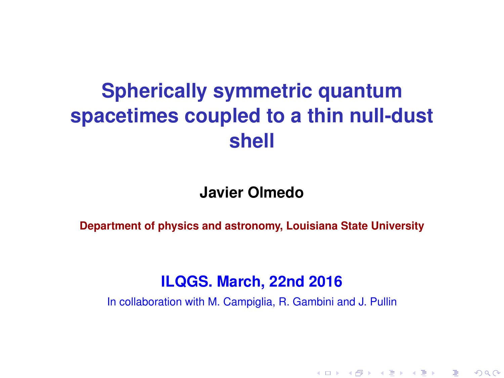# **Spherically symmetric quantum spacetimes coupled to a thin null-dust shell**

#### **Javier Olmedo**

**Department of physics and astronomy, Louisiana State University**

#### **ILQGS. March, 22nd 2016**

In collaboration with M. Campiglia, R. Gambini and J. Pullin

K ロ ▶ K @ ▶ K 할 ▶ K 할 ▶ 이 할 → 900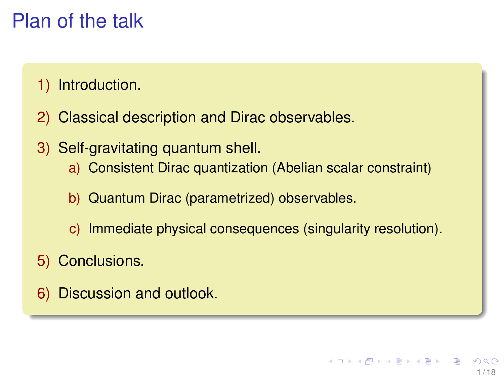# Plan of the talk

- 1) Introduction.
- 2) Classical description and Dirac observables.
- 3) Self-gravitating quantum shell.
	- a) Consistent Dirac quantization (Abelian scalar constraint)
	- b) Quantum Dirac (parametrized) observables.
	- c) Immediate physical consequences (singularity resolution).
- 5) Conclusions.
- 6) Discussion and outlook.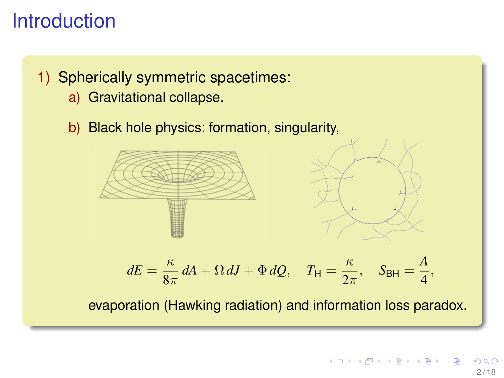## **Introduction**

#### 1) Spherically symmetric spacetimes:

- a) Gravitational collapse.
- b) Black hole physics: formation, singularity,



$$
dE = \frac{\kappa}{8\pi} dA + \Omega dJ + \Phi dQ, \quad T_{\mathsf{H}} = \frac{\kappa}{2\pi}, \quad S_{\mathsf{BH}} = \frac{A}{4},
$$

evaporation (Hawking radiation) and information loss paradox.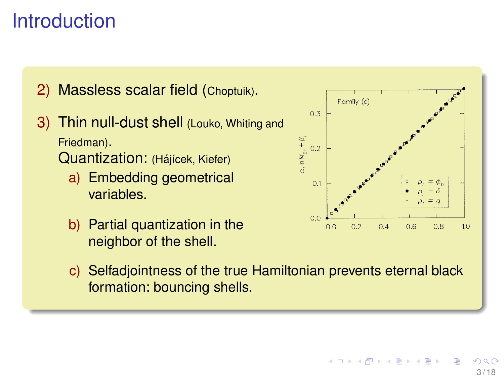# **Introduction**

2) Massless scalar field (Choptuik).

- 3) Thin null-dust shell (Louko, Whiting and Friedman). Quantization: (Hájícek, Kiefer)
	- a) Embedding geometrical variables.
	- b) Partial quantization in the neighbor of the shell.



c) Selfadjointness of the true Hamiltonian prevents eternal black formation: bouncing shells.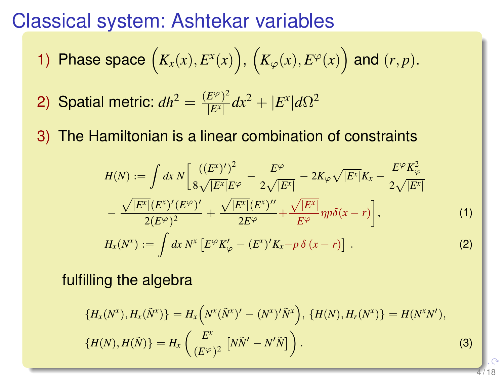#### Classical system: Ashtekar variables

1) Phase space 
$$
(K_x(x), E^x(x))
$$
,  $(K_\varphi(x), E^\varphi(x))$  and  $(r, p)$ .

- 2) Spatial metric:  $dh^2 = \frac{(E^\varphi)^2}{|E^\chi|}$  $\frac{E^{\varphi}/2}{|E^{\chi}|}dx^2 + |E^{\chi}|d\Omega^2$
- 3) The Hamiltonian is a linear combination of constraints

$$
H(N) := \int dx \, N \left[ \frac{((E^x)')^2}{8\sqrt{|E^x|} E^\varphi} - \frac{E^\varphi}{2\sqrt{|E^x|}} - 2K_\varphi \sqrt{|E^x|} K_x - \frac{E^\varphi K_\varphi^2}{2\sqrt{|E^x|}} - \frac{\sqrt{|E^x|} (E^x)' (E^\varphi)'}{2(E^\varphi)^2} + \frac{\sqrt{|E^x|} (E^x)''}{2E^\varphi} + \frac{\sqrt{|E^x|}}{E^\varphi} np \delta(x - r) \right],
$$
\n(1)  
\n
$$
H_x(N^x) := \int dx \, N^x \left[ E^\varphi K_\varphi' - (E^x)' K_x - p \delta(x - r) \right].
$$

fulfilling the algebra

$$
\{H_x(N^x), H_x(\tilde{N}^x)\} = H_x\left(N^x(\tilde{N}^x)' - (N^x)'\tilde{N}^x\right), \{H(N), H_r(N^x)\} = H(N^xN'),
$$
  

$$
\{H(N), H(\tilde{N})\} = H_x\left(\frac{E^x}{(E^{\varphi})^2} \left[N\tilde{N}' - N'\tilde{N}\right]\right).
$$
 (3)

4 / 18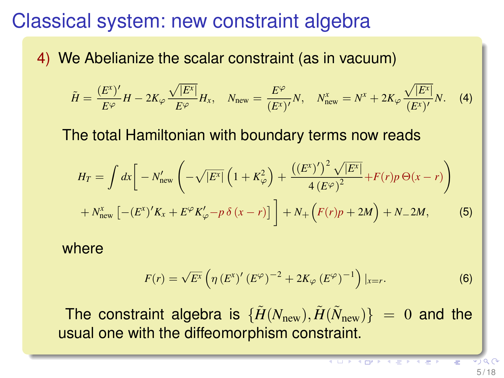## Classical system: new constraint algebra

4) We Abelianize the scalar constraint (as in vacuum)

$$
\tilde{H} = \frac{(E^{x})'}{E^{\varphi}}H - 2K_{\varphi}\frac{\sqrt{|E^{x}|}}{E^{\varphi}}H_{x}, \quad N_{\text{new}} = \frac{E^{\varphi}}{(E^{x})'}N, \quad N_{\text{new}}^{x} = N^{x} + 2K_{\varphi}\frac{\sqrt{|E^{x}|}}{(E^{x})'}N. \quad (4)
$$

The total Hamiltonian with boundary terms now reads

$$
H_T = \int dx \left[ -N'_{\text{new}} \left( -\sqrt{|E^x|} \left( 1 + K_{\varphi}^2 \right) + \frac{\left( (E^x)' \right)^2 \sqrt{|E^x|}}{4 \left( E^{\varphi} \right)^2} + F(r) p \Theta(x - r) \right) + N''_{\text{new}} \left[ - (E^x)' K_x + E^{\varphi} K'_{\varphi} - p \delta(x - r) \right] \right] + N_+ \left( F(r) p + 2M \right) + N_- 2M, \tag{5}
$$

where

$$
F(r) = \sqrt{E^x} \left( \eta \left( E^x \right)' \left( E^{\varphi} \right)^{-2} + 2K_{\varphi} \left( E^{\varphi} \right)^{-1} \right) |_{x=r}.
$$
 (6)

The constraint algebra is  $\{ \tilde{H}(N_{\rm new}), \tilde{H}(\tilde{N}_{\rm new}) \}~=~0$  and the usual one with the diffeomorphism constraint.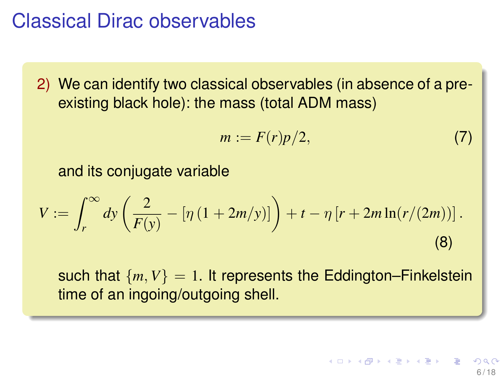#### Classical Dirac observables

2) We can identify two classical observables (in absence of a preexisting black hole): the mass (total ADM mass)

$$
m := F(r)p/2,\tag{7}
$$

and its conjugate variable

$$
V := \int_{r}^{\infty} dy \left( \frac{2}{F(y)} - \left[ \eta \left( 1 + 2m/y \right) \right] \right) + t - \eta \left[ r + 2m \ln(r/(2m)) \right].
$$
\n(8)

such that  ${m, V} = 1$ . It represents the Eddington–Finkelstein time of an ingoing/outgoing shell.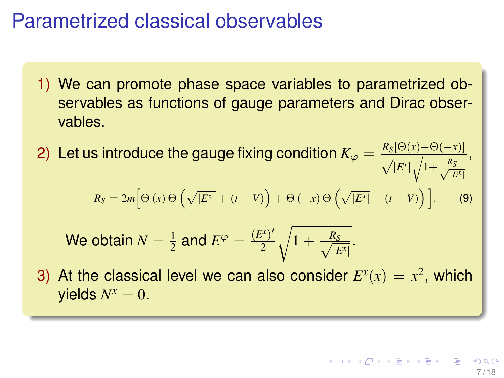#### Parametrized classical observables

- 1) We can promote phase space variables to parametrized observables as functions of gauge parameters and Dirac observables.
- 2) Let us introduce the gauge fixing condition  $K_\varphi = \frac{R_S[\Theta(x)-\Theta(-x)]}{\sqrt{|E^x|}\sqrt{1+\frac{R_S}{\sqrt{|E^x|}}}}$ ,

$$
R_S = 2m \Big[\Theta\left(x\right)\Theta\left(\sqrt{\left|E^x\right|} + (t-V)\right) + \Theta\left(-x\right)\Theta\left(\sqrt{\left|E^x\right|} - (t-V)\right)\Big].\hspace{1cm} (9)
$$

We obtain 
$$
N = \frac{1}{2}
$$
 and  $E^{\varphi} = \frac{(E^x)'}{2} \sqrt{1 + \frac{R_S}{\sqrt{|E^x|}}}$ .

3) At the classical level we can also consider  $E^x(x) = x^2$ , which  $y$ ields  $N^x = 0$ .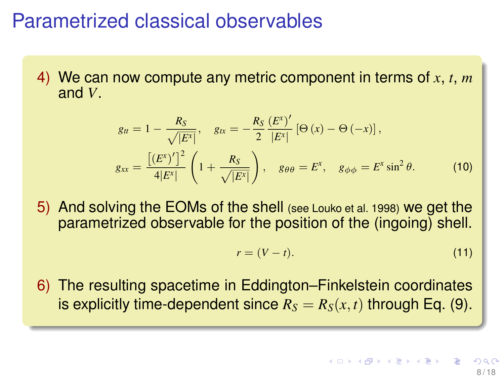#### Parametrized classical observables

4) We can now compute any metric component in terms of *x*, *t*, *m* and *V*.

$$
g_{tt} = 1 - \frac{R_S}{\sqrt{|E^x|}}, \quad g_{tx} = -\frac{R_S}{2} \frac{(E^x)'}{|E^x|} [\Theta(x) - \Theta(-x)],
$$
  

$$
g_{xx} = \frac{\left[ (E^x)'\right]^2}{4|E^x|} \left(1 + \frac{R_S}{\sqrt{|E^x|}}\right), \quad g_{\theta\theta} = E^x, \quad g_{\phi\phi} = E^x \sin^2 \theta.
$$
 (10)

5) And solving the EOMs of the shell (see Louko et al. 1998) we get the parametrized observable for the position of the (ingoing) shell.

$$
r = (V - t). \tag{11}
$$

6) The resulting spacetime in Eddington–Finkelstein coordinates is explicitly time-dependent since  $R_S = R_S(x, t)$  through Eq. (9).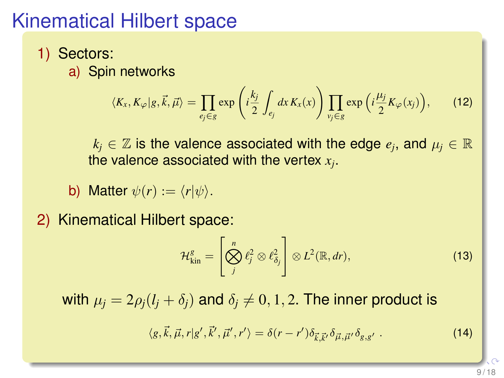## Kinematical Hilbert space

- 1) Sectors:
	- a) Spin networks

$$
\langle K_x, K_{\varphi}|g, \vec{k}, \vec{\mu} \rangle = \prod_{e_j \in g} \exp\left(i\frac{k_j}{2} \int_{e_j} dx K_x(x)\right) \prod_{v_j \in g} \exp\left(i\frac{\mu_j}{2} K_{\varphi}(x_j)\right), \qquad (12)
$$

 $k_j \in \mathbb{Z}$  is the valence associated with the edge  $e_j$ , and  $\mu_j \in \mathbb{R}$ the valence associated with the vertex *x<sup>j</sup>* .

- b) Matter  $\psi(r) := \langle r | \psi \rangle$ .
- 2) Kinematical Hilbert space:

$$
\mathcal{H}^g_{\text{kin}} = \left[ \bigotimes_j^n \ell_j^2 \otimes \ell_{\delta_j}^2 \right] \otimes L^2(\mathbb{R}, dr), \tag{13}
$$

with  $\mu_i = 2\rho_i(l_i + \delta_i)$  and  $\delta_i \neq 0, 1, 2$ . The inner product is

$$
\langle g, \vec{k}, \vec{\mu}, r | g', \vec{k}', \vec{\mu}', r' \rangle = \delta(r - r') \delta_{\vec{k}, \vec{k}'} \delta_{\vec{\mu}, \vec{\mu}'} \delta_{g, g'} . \qquad (14)
$$

9 / 18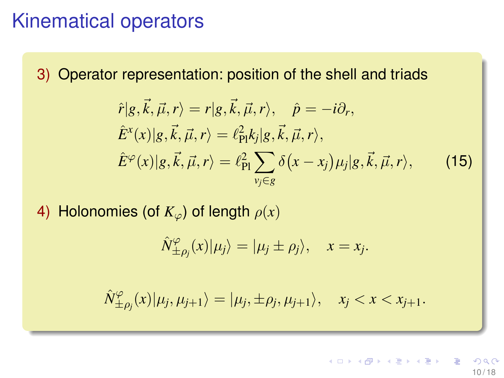#### Kinematical operators

3) Operator representation: position of the shell and triads

$$
\hat{r}|g,\vec{k},\vec{\mu},r\rangle = r|g,\vec{k},\vec{\mu},r\rangle, \quad \hat{p} = -i\partial_r, \n\hat{E}^x(x)|g,\vec{k},\vec{\mu},r\rangle = \ell_{\text{Pl}}^2 k_j |g,\vec{k},\vec{\mu},r\rangle, \n\hat{E}^\varphi(x)|g,\vec{k},\vec{\mu},r\rangle = \ell_{\text{Pl}}^2 \sum_{v_j \in g} \delta(x - x_j) \mu_j |g,\vec{k},\vec{\mu},r\rangle, \tag{15}
$$

4) Holonomies (of  $K_{\varphi}$ ) of length  $\rho(x)$ 

$$
\hat{N}_{\pm \rho_j}^{\varphi}(x)|\mu_j\rangle = |\mu_j \pm \rho_j\rangle, \quad x = x_j.
$$

 $\hat{N}^{\varphi}_{+}$  $\langle \varphi_{\pm \rho_j}(x)|\mu_j, \mu_{j+1}\rangle = |\mu_j, \pm \rho_j, \mu_{j+1}\rangle, \quad x_j < x < x_{j+1}.$ 

> イロメ イ部メ イ君メ イ君メー 10 / 18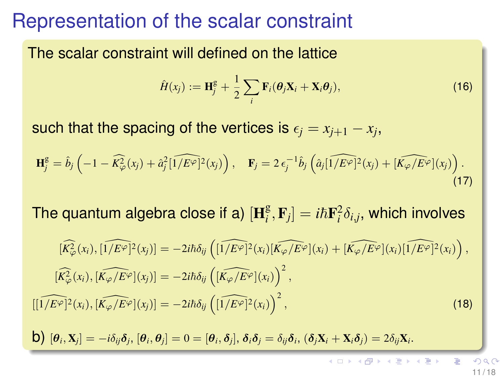#### Representation of the scalar constraint

The scalar constraint will defined on the lattice

$$
\hat{H}(x_j) := \mathbf{H}_j^g + \frac{1}{2} \sum_i \mathbf{F}_i(\boldsymbol{\theta}_j \mathbf{X}_i + \mathbf{X}_i \boldsymbol{\theta}_j),
$$
\n(16)

such that the spacing of the vertices is  $\epsilon_j = x_{j+1} - x_j,$ 

$$
\mathbf{H}_{j}^{\text{g}} = \hat{b}_{j} \left( -1 - \widehat{K_{\varphi}^{2}}(x_{j}) + \hat{a}_{j}^{2} \widehat{[1/E^{\varphi}]}^{2}(x_{j}) \right), \quad \mathbf{F}_{j} = 2 \epsilon_{j}^{-1} \hat{b}_{j} \left( \hat{a}_{j} \widehat{[1/E^{\varphi}]}^{2}(x_{j}) + \widehat{[K_{\varphi}/E^{\varphi}]}(x_{j}) \right). \tag{17}
$$

The quantum algebra close if a)  $[\mathbf{H}_i^{\text{g}}]$  $\left[ \begin{matrix} {\mathbf g} \cr i \end{matrix} , {\mathbf F}_j \right] = i\hbar {\mathbf F}^2_i \delta_{i,j},$  which involves

$$
[\widehat{K_{\varphi}^{2}}(x_{i}),[\widehat{1/E^{\varphi}}]^{2}(x_{j})] = -2i\hbar\delta_{ij}\left([\widehat{1/E^{\varphi}}]^{2}(x_{i})[\widehat{K_{\varphi}/E^{\varphi}}](x_{i}) + [\widehat{K_{\varphi}/E^{\varphi}}](x_{i})[\widehat{1/E^{\varphi}}]^{2}(x_{i})\right),
$$

$$
[\widehat{K_{\varphi}^{2}}(x_{i}),[\widehat{K_{\varphi}/E^{\varphi}}](x_{j})] = -2i\hbar\delta_{ij}\left([\widehat{K_{\varphi}/E^{\varphi}}](x_{i})\right)^{2},
$$

$$
[[\widehat{1/E^{\varphi}}]^{2}(x_{i}),[\widehat{K_{\varphi}/E^{\varphi}}](x_{j})] = -2i\hbar\delta_{ij}\left([\widehat{1/E^{\varphi}}]^{2}(x_{i})\right)^{2},
$$
(18)

 $\left\langle \bm{\lambda} \right\rangle \left[ \bm{\theta}_i, \mathbf{X}_j \right] = -i \delta_{ij} \bm{\delta}_j, \left[ \bm{\theta}_i, \bm{\theta}_j \right] = 0 = \left[ \bm{\theta}_i, \bm{\delta}_j \right], \, \bm{\delta}_i \bm{\delta}_j = \delta_{ij} \bm{\delta}_i, \, (\bm{\delta}_j \mathbf{X}_i + \mathbf{X}_i \bm{\delta}_j) = 2 \delta_{ij} \mathbf{X}_i.$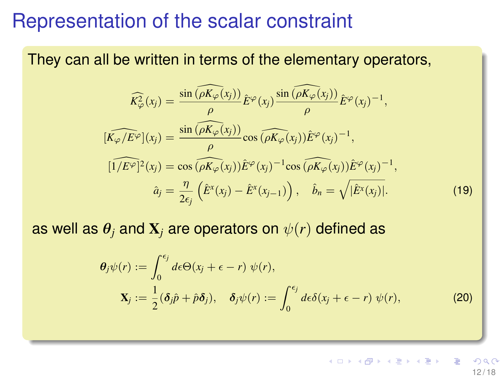#### Representation of the scalar constraint

They can all be written in terms of the elementary operators,

$$
\widehat{K_{\varphi}^{2}}(x_{j}) = \frac{\sin(\widehat{\rho K_{\varphi}(x_{j})})}{\rho} \widehat{E}^{\varphi}(x_{j}) \frac{\sin(\widehat{\rho K_{\varphi}(x_{j})})}{\rho} \widehat{E}^{\varphi}(x_{j})^{-1},
$$
\n
$$
[\widehat{K_{\varphi}/E^{\varphi}}](x_{j}) = \frac{\sin(\widehat{\rho K_{\varphi}(x_{j})})}{\rho} \cos(\widehat{\rho K_{\varphi}(x_{j})}) \widehat{E}^{\varphi}(x_{j})^{-1},
$$
\n
$$
[\widehat{1/E^{\varphi}}]^{2}(x_{j}) = \cos(\widehat{\rho K_{\varphi}(x_{j})}) \widehat{E}^{\varphi}(x_{j})^{-1} \cos(\widehat{\rho K_{\varphi}(x_{j})}) \widehat{E}^{\varphi}(x_{j})^{-1},
$$
\n
$$
\widehat{a}_{j} = \frac{\eta}{2\epsilon_{j}} (\widehat{E}^{x}(x_{j}) - \widehat{E}^{x}(x_{j-1})) , \quad \widehat{b}_{n} = \sqrt{|\widehat{E}^{x}(x_{j})|}.
$$
\n(19)

as well as  $\theta_i$  and  $\mathbf{X}_i$  are operators on  $\psi(r)$  defined as

$$
\theta_j \psi(r) := \int_0^{\epsilon_j} d\epsilon \Theta(x_j + \epsilon - r) \psi(r),
$$
  
\n
$$
\mathbf{X}_j := \frac{1}{2} (\delta_j \hat{p} + \hat{p} \delta_j), \quad \delta_j \psi(r) := \int_0^{\epsilon_j} d\epsilon \delta(x_j + \epsilon - r) \psi(r),
$$
\n(20)

 $\left\{ \begin{array}{ccc} 1 & 0 & 0 \\ 0 & 1 & 0 \end{array} \right. \times \left\{ \begin{array}{ccc} 0 & 0 & 0 \\ 0 & 0 & 0 \end{array} \right. \times \left\{ \begin{array}{ccc} 0 & 0 & 0 \\ 0 & 0 & 0 \end{array} \right.$ 12 / 18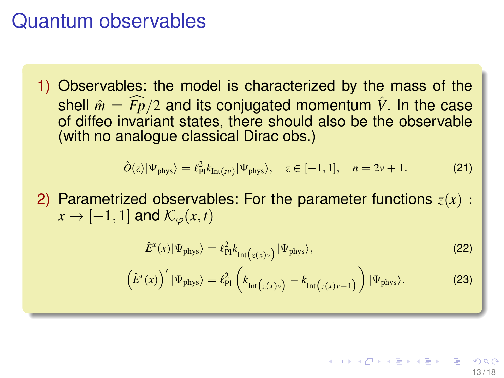#### Quantum observables

1) Observables: the model is characterized by the mass of the shell  $\hat{m} = F_p/2$  and its conjugated momentum  $\hat{V}$ . In the case of diffeo invariant states, there should also be the observable (with no analogue classical Dirac obs.)

$$
\hat{O}(z)|\Psi_{\text{phys}}\rangle = \ell_{\text{Pl}}^2 k_{\text{Int}(z\nu)}|\Psi_{\text{phys}}\rangle, \quad z \in [-1, 1], \quad n = 2\nu + 1. \tag{21}
$$

2) Parametrized observables: For the parameter functions *z*(*x*) :  $x \rightarrow [-1, 1]$  and  $\mathcal{K}_{\varphi}(x, t)$ 

$$
\hat{E}^{x}(x)|\Psi_{\text{phys}}\rangle = \ell_{\text{PI}}^{2} k_{\text{Int}\left(z(x)v\right)}|\Psi_{\text{phys}}\rangle,\tag{22}
$$

$$
\left(\hat{E}^{x}(x)\right)'|\Psi_{\text{phys}}\rangle = \ell_{\text{Pl}}^{2}\left(k_{\text{Int}\left(z(x)v\right)} - k_{\text{Int}\left(z(x)v-1\right)}\right)|\Psi_{\text{phys}}\rangle. \tag{23}
$$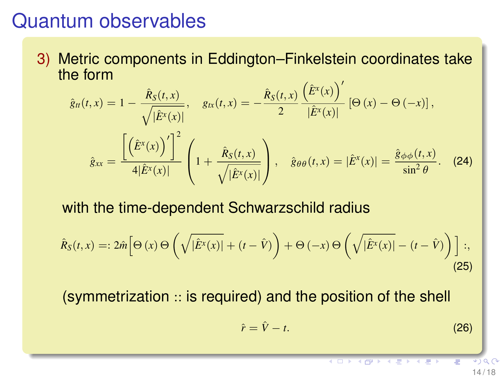#### Quantum observables

3) Metric components in Eddington–Finkelstein coordinates take the form

$$
\hat{g}_{tt}(t,x) = 1 - \frac{\hat{R}_S(t,x)}{\sqrt{|\hat{E}^X(x)|}}, \quad g_{tx}(t,x) = -\frac{\hat{R}_S(t,x)}{2} \frac{(\hat{E}^X(x))'}{|\hat{E}^X(x)|} [\Theta(x) - \Theta(-x)],
$$

$$
\hat{g}_{xx} = \frac{\left[\left(\hat{E}^X(x)\right)'\right]^2}{4|\hat{E}^X(x)|} \left(1 + \frac{\hat{R}_S(t,x)}{\sqrt{|\hat{E}^X(x)|}}\right), \quad \hat{g}_{\theta\theta}(t,x) = |\hat{E}^X(x)| = \frac{\hat{g}_{\phi\phi}(t,x)}{\sin^2\theta}.
$$
(24)

with the time-dependent Schwarzschild radius

$$
\hat{R}_S(t,x) =: 2\hat{m} \Big[ \Theta\left(x\right) \Theta\left(\sqrt{|\hat{E}^x(x)|} + (t - \hat{V})\right) + \Theta\left(-x\right) \Theta\left(\sqrt{|\hat{E}^x(x)|} - (t - \hat{V})\right) \Big];\tag{25}
$$

(symmetrization :: is required) and the position of the shell

$$
\hat{r} = \hat{V} - t. \tag{26}
$$

14 / 18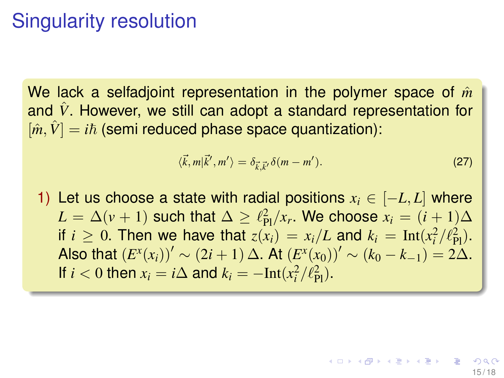## Singularity resolution

We lack a selfadioint representation in the polymer space of  $\hat{m}$ and  $\hat{V}$ . However, we still can adopt a standard representation for  $[\hat{m}, \hat{V}] = i\hbar$  (semi reduced phase space quantization):

$$
\langle \vec{k}, m | \vec{k}', m' \rangle = \delta_{\vec{k}, \vec{k}'} \delta(m - m'). \tag{27}
$$

1) Let us choose a state with radial positions  $x_i \in [-L, L]$  where  $L = \Delta (v + 1)$  such that  $\Delta \geq \ell_{\text{Pl}}^2 / x_r$ . We choose  $x_i = (i + 1)\Delta$ if  $i \geq 0$ . Then we have that  $z(x_i) = x_i/L$  and  $k_i = \text{Int}(x_i^2/\ell_{\text{Pl}}^2)$ . Also that  $(E^x(x_i))' \sim (2i + 1) \Delta$ . At  $(E^x(x_0))' \sim (k_0 - k_{-1}) = 2\Delta$ . If *i* < 0 then  $x_i = i\Delta$  and  $k_i = -\text{Int}(x_i^2/\ell_{\text{Pl}}^2)$ .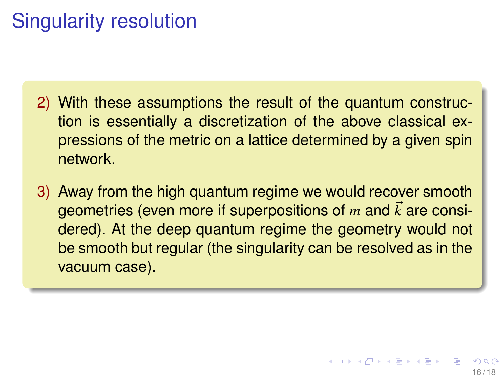# Singularity resolution

- 2) With these assumptions the result of the quantum construction is essentially a discretization of the above classical expressions of the metric on a lattice determined by a given spin network.
- 3) Away from the high quantum regime we would recover smooth geometries (even more if superpositions of  $m$  and  $\vec{k}$  are considered). At the deep quantum regime the geometry would not be smooth but regular (the singularity can be resolved as in the vacuum case).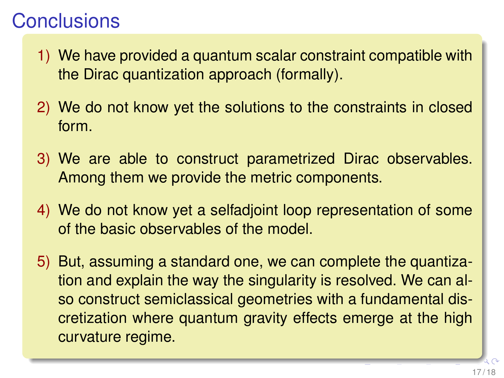## **Conclusions**

- 1) We have provided a quantum scalar constraint compatible with the Dirac quantization approach (formally).
- 2) We do not know yet the solutions to the constraints in closed form.
- 3) We are able to construct parametrized Dirac observables. Among them we provide the metric components.
- 4) We do not know yet a selfadjoint loop representation of some of the basic observables of the model.
- 5) But, assuming a standard one, we can complete the quantization and explain the way the singularity is resolved. We can also construct semiclassical geometries with a fundamental discretization where quantum gravity effects emerge at the high curvature regime.